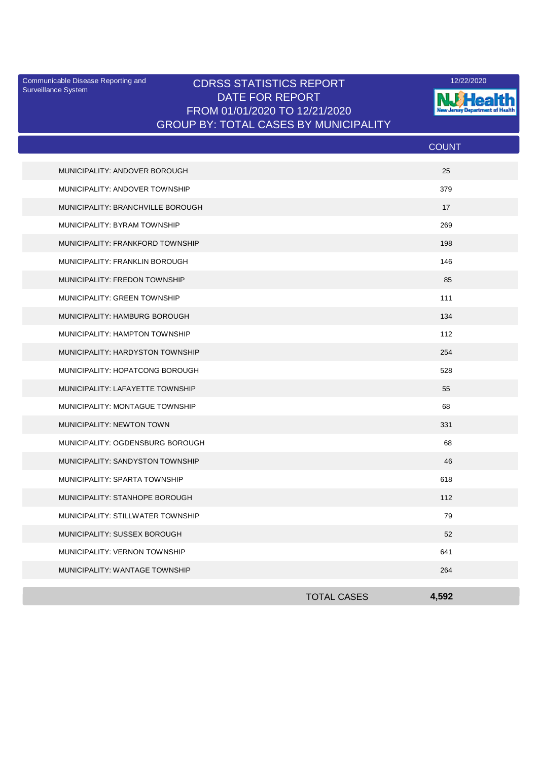Surveillance System

## Communicable Disease Reporting and **CDRSS STATISTICS REPORT** 12/22/2020<br>Surveillance Statem DATE FOR REPORT FROM 01/01/2020 TO 12/21/2020 GROUP BY: TOTAL CASES BY MUNICIPALITY



|                                   |                    | <b>COUNT</b> |
|-----------------------------------|--------------------|--------------|
| MUNICIPALITY: ANDOVER BOROUGH     |                    | 25           |
| MUNICIPALITY: ANDOVER TOWNSHIP    |                    | 379          |
| MUNICIPALITY: BRANCHVILLE BOROUGH |                    | 17           |
| MUNICIPALITY: BYRAM TOWNSHIP      |                    | 269          |
| MUNICIPALITY: FRANKFORD TOWNSHIP  |                    | 198          |
| MUNICIPALITY: FRANKLIN BOROUGH    |                    | 146          |
| MUNICIPALITY: FREDON TOWNSHIP     |                    | 85           |
| MUNICIPALITY: GREEN TOWNSHIP      |                    | 111          |
| MUNICIPALITY: HAMBURG BOROUGH     |                    | 134          |
| MUNICIPALITY: HAMPTON TOWNSHIP    |                    | 112          |
| MUNICIPALITY: HARDYSTON TOWNSHIP  |                    | 254          |
| MUNICIPALITY: HOPATCONG BOROUGH   |                    | 528          |
| MUNICIPALITY: LAFAYETTE TOWNSHIP  |                    | 55           |
| MUNICIPALITY: MONTAGUE TOWNSHIP   |                    | 68           |
| MUNICIPALITY: NEWTON TOWN         |                    | 331          |
| MUNICIPALITY: OGDENSBURG BOROUGH  |                    | 68           |
| MUNICIPALITY: SANDYSTON TOWNSHIP  |                    | 46           |
| MUNICIPALITY: SPARTA TOWNSHIP     |                    | 618          |
| MUNICIPALITY: STANHOPE BOROUGH    |                    | 112          |
| MUNICIPALITY: STILLWATER TOWNSHIP |                    | 79           |
| MUNICIPALITY: SUSSEX BOROUGH      |                    | 52           |
| MUNICIPALITY: VERNON TOWNSHIP     |                    | 641          |
| MUNICIPALITY: WANTAGE TOWNSHIP    |                    | 264          |
|                                   | <b>TOTAL CASES</b> | 4,592        |
|                                   |                    |              |